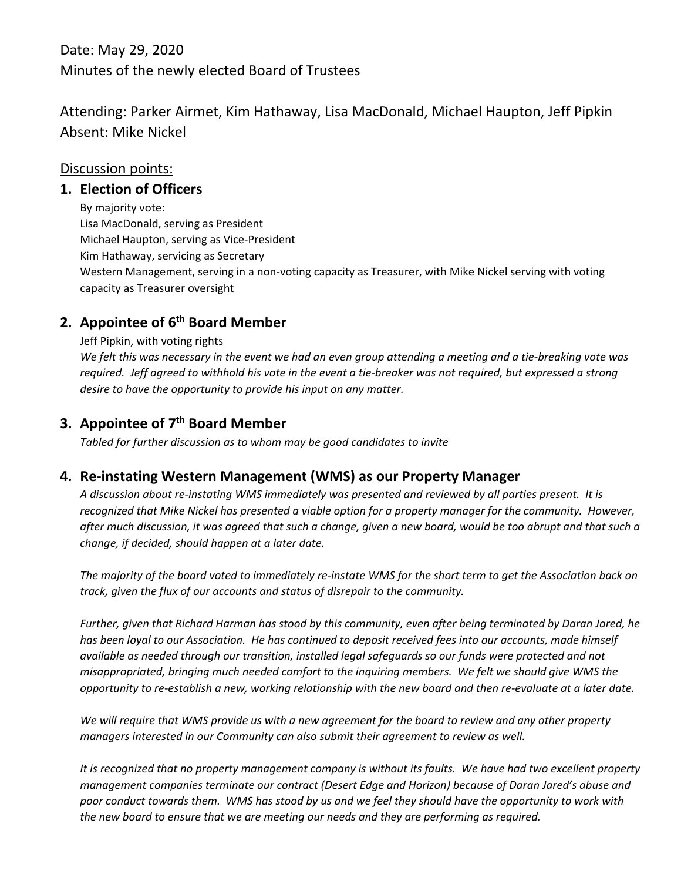Date: May 29, 2020 Minutes of the newly elected Board of Trustees

Attending: Parker Airmet, Kim Hathaway, Lisa MacDonald, Michael Haupton, Jeff Pipkin Absent: Mike Nickel

#### Discussion points:

#### **1. Election of Officers**

By majority vote: Lisa MacDonald, serving as President Michael Haupton, serving as Vice‐President Kim Hathaway, servicing as Secretary Western Management, serving in a non‐voting capacity as Treasurer, with Mike Nickel serving with voting capacity as Treasurer oversight

### **2. Appointee of 6th Board Member**

#### Jeff Pipkin, with voting rights

We felt this was necessary in the event we had an even group attending a meeting and a tie-breaking vote was required. Jeff agreed to withhold his vote in the event a tie-breaker was not required, but expressed a strong *desire to have the opportunity to provide his input on any matter.*

### **3. Appointee of 7th Board Member**

*Tabled for further discussion as to whom may be good candidates to invite*

#### **4. Re‐instating Western Management (WMS) as our Property Manager**

A discussion about re-instating WMS immediately was presented and reviewed by all parties present. It is recognized that Mike Nickel has presented a viable option for a property manager for the community. However, after much discussion, it was agreed that such a change, given a new board, would be too abrupt and that such a *change, if decided, should happen at a later date.*

The majority of the board voted to immediately re-instate WMS for the short term to get the Association back on *track, given the flux of our accounts and status of disrepair to the community.* 

Further, given that Richard Harman has stood by this community, even after being terminated by Daran Jared, he has been loyal to our Association. He has continued to deposit received fees into our accounts, made himself *available as needed through our transition, installed legal safeguards so our funds were protected and not misappropriated, bringing much needed comfort to the inquiring members. We felt we should give WMS the* opportunity to re-establish a new, working relationship with the new board and then re-evaluate at a later date.

We will require that WMS provide us with a new agreement for the board to review and any other property *managers interested in our Community can also submit their agreement to review as well.*

It is recognized that no property management company is without its faults. We have had two excellent property *management companies terminate our contract (Desert Edge and Horizon) because of Daran Jared's abuse and* poor conduct towards them. WMS has stood by us and we feel they should have the opportunity to work with *the new board to ensure that we are meeting our needs and they are performing as required.*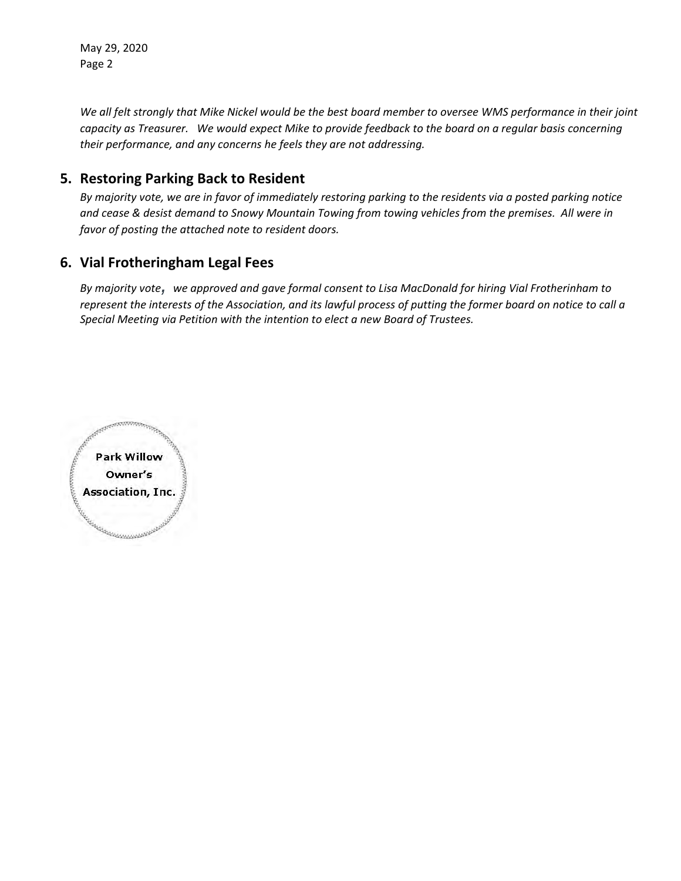May 29, 2020 Page 2

We all felt strongly that Mike Nickel would be the best board member to oversee WMS performance in their joint capacity as Treasurer. We would expect Mike to provide feedback to the board on a regular basis concerning *their performance, and any concerns he feels they are not addressing.*

#### **5. Restoring Parking Back to Resident**

By majority vote, we are in favor of immediately restoring parking to the residents via a posted parking notice and cease & desist demand to Snowy Mountain Towing from towing vehicles from the premises. All were in *favor of posting the attached note to resident doors.*

#### **6. Vial Frotheringham Legal Fees**

By majority vote, we approved and gave formal consent to Lisa MacDonald for hiring Vial Frotherinham to represent the interests of the Association, and its lawful process of putting the former board on notice to call a *Special Meeting via Petition with the intention to elect a new Board of Trustees.*